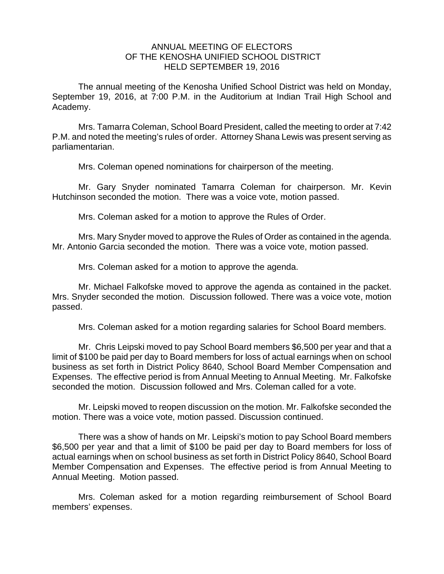## ANNUAL MEETING OF ELECTORS OF THE KENOSHA UNIFIED SCHOOL DISTRICT HELD SEPTEMBER 19, 2016

The annual meeting of the Kenosha Unified School District was held on Monday, September 19, 2016, at 7:00 P.M. in the Auditorium at Indian Trail High School and Academy.

Mrs. Tamarra Coleman, School Board President, called the meeting to order at 7:42 P.M. and noted the meeting's rules of order. Attorney Shana Lewis was present serving as parliamentarian.

Mrs. Coleman opened nominations for chairperson of the meeting.

Mr. Gary Snyder nominated Tamarra Coleman for chairperson. Mr. Kevin Hutchinson seconded the motion. There was a voice vote, motion passed.

Mrs. Coleman asked for a motion to approve the Rules of Order.

Mrs. Mary Snyder moved to approve the Rules of Order as contained in the agenda. Mr. Antonio Garcia seconded the motion. There was a voice vote, motion passed.

Mrs. Coleman asked for a motion to approve the agenda.

Mr. Michael Falkofske moved to approve the agenda as contained in the packet. Mrs. Snyder seconded the motion. Discussion followed. There was a voice vote, motion passed.

Mrs. Coleman asked for a motion regarding salaries for School Board members.

Mr. Chris Leipski moved to pay School Board members \$6,500 per year and that a limit of \$100 be paid per day to Board members for loss of actual earnings when on school business as set forth in District Policy 8640, School Board Member Compensation and Expenses. The effective period is from Annual Meeting to Annual Meeting. Mr. Falkofske seconded the motion. Discussion followed and Mrs. Coleman called for a vote.

Mr. Leipski moved to reopen discussion on the motion. Mr. Falkofske seconded the motion. There was a voice vote, motion passed. Discussion continued.

There was a show of hands on Mr. Leipski's motion to pay School Board members \$6,500 per year and that a limit of \$100 be paid per day to Board members for loss of actual earnings when on school business as set forth in District Policy 8640, School Board Member Compensation and Expenses. The effective period is from Annual Meeting to Annual Meeting. Motion passed.

Mrs. Coleman asked for a motion regarding reimbursement of School Board members' expenses.